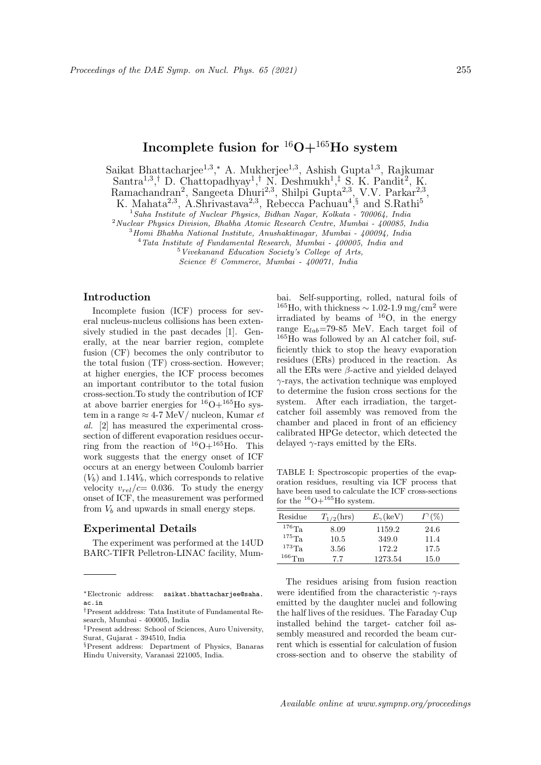# Incomplete fusion for  ${}^{16}O+{}^{165}Ho$  system

Saikat Bhattacharjee<sup>1,3</sup>,\* A. Mukherjee<sup>1,3</sup>, Ashish Gupta<sup>1,3</sup>, Rajkumar Santra<sup>1,3</sup>,<sup>†</sup> D. Chattopadhyay<sup>1</sup>,<sup>†</sup> N. Deshmukh<sup>1</sup>,<sup>‡</sup> S. K. Pandit<sup>2</sup>, K. Ramachandran<sup>2</sup>, Sangeeta Dhuri<sup>2,3</sup>, Shilpi Gupta<sup>2,3</sup>, V.V. Parkar<sup>2,3</sup>,

K. Mahata<sup>2,3</sup>, A.Shrivastava<sup>2,3</sup>, Rebecca Pachuau<sup>4</sup>,<sup>§</sup> and S.Rathi<sup>5</sup>

 $1$ Saha Institute of Nuclear Physics, Bidhan Nagar, Kolkata - 700064, India

<sup>2</sup>Nuclear Physics Division, Bhabha Atomic Research Centre, Mumbai - 400085, India

 $3$ Homi Bhabha National Institute, Anushaktinagar, Mumbai - 400094, India

 $4$ Tata Institute of Fundamental Research, Mumbai - 400005, India and

<sup>5</sup>Vivekanand Education Society's College of Arts,

Science & Commerce, Mumbai - 400071, India

## Introduction

Incomplete fusion (ICF) process for several nucleus-nucleus collisions has been extensively studied in the past decades [1]. Generally, at the near barrier region, complete fusion (CF) becomes the only contributor to the total fusion (TF) cross-section. However; at higher energies, the ICF process becomes an important contributor to the total fusion cross-section.To study the contribution of ICF at above barrier energies for  ${}^{16}O+{}^{165}Ho$  system in a range  $\approx 4$ -7 MeV/ nucleon, Kumar et al. [2] has measured the experimental crosssection of different evaporation residues occurring from the reaction of  $^{16}O+^{165}Ho$ . This work suggests that the energy onset of ICF occurs at an energy between Coulomb barrier  $(V_b)$  and 1.14 $V_b$ , which corresponds to relative velocity  $v_{rel}/c= 0.036$ . To study the energy onset of ICF, the measurement was performed from  $V_b$  and upwards in small energy steps.

#### Experimental Details

The experiment was performed at the 14UD BARC-TIFR Pelletron-LINAC facility, Mum-

bai. Self-supporting, rolled, natural foils of  $165H_0$ , with thickness ~ 1.02-1.9 mg/cm<sup>2</sup> were irradiated by beams of  $^{16}O$ , in the energy range  $E_{lab}$ =79-85 MeV. Each target foil of  $165H$ o was followed by an Al catcher foil, sufficiently thick to stop the heavy evaporation residues (ERs) produced in the reaction. As all the ERs were  $\beta$ -active and yielded delayed  $\gamma$ -rays, the activation technique was employed to determine the fusion cross sections for the system. After each irradiation, the targetcatcher foil assembly was removed from the chamber and placed in front of an efficiency calibrated HPGe detector, which detected the delayed  $\gamma$ -rays emitted by the ERs.

TABLE I: Spectroscopic properties of the evaporation residues, resulting via ICF process that have been used to calculate the ICF cross-sections for the  $^{16}O+^{165}$ Ho system.

| Residue     | $T_{1/2}$ (hrs) | $E_{\gamma}$ (keV) | $I^\gamma(\%)$ |
|-------------|-----------------|--------------------|----------------|
| $^{176}$ Ta | 8.09            | 1159.2             | 24.6           |
| $^{175}$ Ta | 10.5            | 349.0              | 11.4           |
| $^{173}$ Ta | 3.56            | 172.2              | 17.5           |
| $166$ Tm    | 7.7             | 1273.54            | 15.0           |

The residues arising from fusion reaction were identified from the characteristic  $\gamma$ -rays emitted by the daughter nuclei and following the half lives of the residues. The Faraday Cup installed behind the target- catcher foil assembly measured and recorded the beam current which is essential for calculation of fusion cross-section and to observe the stability of

<sup>∗</sup>Electronic address: saikat.bhattacharjee@saha. ac.in

<sup>†</sup>Present adddress: Tata Institute of Fundamental Research, Mumbai - 400005, India

<sup>‡</sup>Present address: School of Sciences, Auro University, Surat, Gujarat - 394510, India

<sup>§</sup>Present address: Department of Physics, Banaras Hindu University, Varanasi 221005, India.